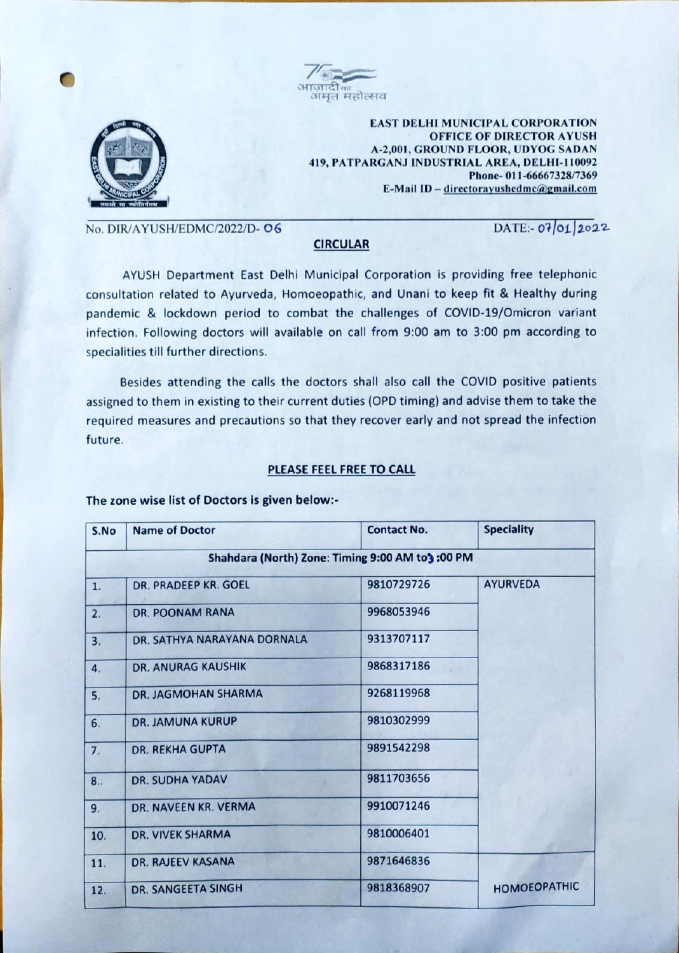



EAST DELHI MUNICIPAL CORPORATION OFFICE OF DIRECTOR AYUSH A-2,001, GROUND FLOOR, UDYOG SADAN 419, PATPARGANJ INDUSTRIAL AREA, DELHI-110092 Phone- 011-66667328/7369 E-Mail ID - directorayushedmc@gmail.com

No. DIR/AYUSH/EDMC/2022/D- 06 DATE:- 07 01 2022

## CIRCULAR

AYUSH Department East Delhi Municipal Corporation is providing free telephonic consultation related to Ayurveda, Homoeopathic, and Unani to keep fit & Healthy during pandemic & lockdown period to combat the challenges of COVID-19/Omicron variant infection. Following doctors will available on call from 9:00 am to 3:00 pm according to specialities till further directions.

Besides attending the calls the doctors shall also call the COVID positive patients assigned to them in existing to their current duties (OPD timing) and advise them to take the required measures and precautions so that they recover early and not spread the infection future.

## PLEASE FEEL FREE TO CALL

The zone wise list of Doctors is given below:-

| S.No           | <b>Name of Doctor</b>                           | <b>Contact No.</b> | <b>Speciality</b>   |
|----------------|-------------------------------------------------|--------------------|---------------------|
|                | Shahdara (North) Zone: Timing 9:00 AM to3:00 PM |                    |                     |
| $\mathbf{1}$ . | DR. PRADEEP KR. GOEL                            | 9810729726         | <b>AYURVEDA</b>     |
| 2.             | <b>DR. POONAM RANA</b>                          | 9968053946         |                     |
| 3.             | DR. SATHYA NARAYANA DORNALA                     | 9313707117         |                     |
| 4.             | <b>DR. ANURAG KAUSHIK</b>                       | 9868317186         |                     |
| 5.             | <b>DR. JAGMOHAN SHARMA</b>                      | 9268119968         |                     |
| 6.             | <b>DR. JAMUNA KURUP</b>                         | 9810302999         |                     |
| 7.             | <b>DR. REKHA GUPTA</b>                          | 9891542298         |                     |
| 8.             | <b>DR. SUDHA YADAV</b>                          | 9811703656         |                     |
| 9.             | DR. NAVEEN KR. VERMA                            | 9910071246         |                     |
| 10.            | <b>DR. VIVEK SHARMA</b>                         | 9810006401         |                     |
| 11.            | <b>DR. RAJEEV KASANA</b>                        | 9871646836         |                     |
| 12.            | <b>DR. SANGEETA SINGH</b>                       | 9818368907         | <b>HOMOEOPATHIC</b> |